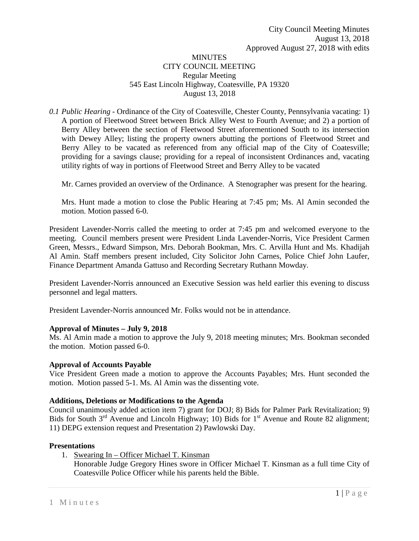# **MINUTES** CITY COUNCIL MEETING Regular Meeting 545 East Lincoln Highway, Coatesville, PA 19320 August 13, 2018

*0.1 Public Hearing -* Ordinance of the City of Coatesville, Chester County, Pennsylvania vacating: 1) A portion of Fleetwood Street between Brick Alley West to Fourth Avenue; and 2) a portion of Berry Alley between the section of Fleetwood Street aforementioned South to its intersection with Dewey Alley; listing the property owners abutting the portions of Fleetwood Street and Berry Alley to be vacated as referenced from any official map of the City of Coatesville; providing for a savings clause; providing for a repeal of inconsistent Ordinances and, vacating utility rights of way in portions of Fleetwood Street and Berry Alley to be vacated

Mr. Carnes provided an overview of the Ordinance. A Stenographer was present for the hearing.

Mrs. Hunt made a motion to close the Public Hearing at 7:45 pm; Ms. Al Amin seconded the motion. Motion passed 6-0.

President Lavender-Norris called the meeting to order at 7:45 pm and welcomed everyone to the meeting. Council members present were President Linda Lavender-Norris, Vice President Carmen Green, Messrs., Edward Simpson, Mrs. Deborah Bookman, Mrs. C. Arvilla Hunt and Ms. Khadijah Al Amin. Staff members present included, City Solicitor John Carnes, Police Chief John Laufer, Finance Department Amanda Gattuso and Recording Secretary Ruthann Mowday.

President Lavender-Norris announced an Executive Session was held earlier this evening to discuss personnel and legal matters.

President Lavender-Norris announced Mr. Folks would not be in attendance.

### **Approval of Minutes – July 9, 2018**

Ms. Al Amin made a motion to approve the July 9, 2018 meeting minutes; Mrs. Bookman seconded the motion. Motion passed 6-0.

### **Approval of Accounts Payable**

Vice President Green made a motion to approve the Accounts Payables; Mrs. Hunt seconded the motion. Motion passed 5-1. Ms. Al Amin was the dissenting vote.

### **Additions, Deletions or Modifications to the Agenda**

Council unanimously added action item 7) grant for DOJ; 8) Bids for Palmer Park Revitalization; 9) Bids for South  $3^{rd}$  Avenue and Lincoln Highway; 10) Bids for  $1^{st}$  Avenue and Route 82 alignment; 11) DEPG extension request and Presentation 2) Pawlowski Day.

### **Presentations**

1. Swearing In – Officer Michael T. Kinsman

Honorable Judge Gregory Hines swore in Officer Michael T. Kinsman as a full time City of Coatesville Police Officer while his parents held the Bible.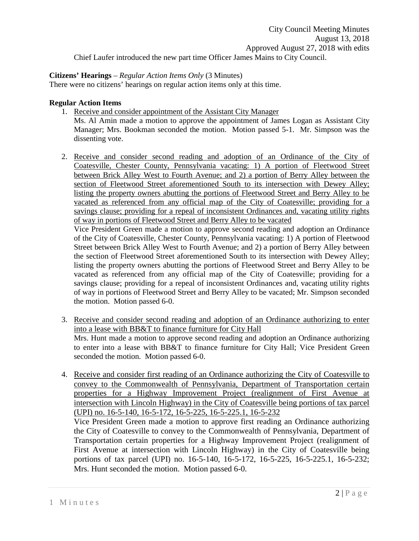City Council Meeting Minutes August 13, 2018 Approved August 27, 2018 with edits Chief Laufer introduced the new part time Officer James Mains to City Council.

## **Citizens' Hearings** – *Regular Action Items Only* (3 Minutes)

There were no citizens' hearings on regular action items only at this time.

# **Regular Action Items**

- 1. Receive and consider appointment of the Assistant City Manager
	- Ms. Al Amin made a motion to approve the appointment of James Logan as Assistant City Manager; Mrs. Bookman seconded the motion. Motion passed 5-1. Mr. Simpson was the dissenting vote.
- 2. Receive and consider second reading and adoption of an Ordinance of the City of Coatesville, Chester County, Pennsylvania vacating: 1) A portion of Fleetwood Street between Brick Alley West to Fourth Avenue; and 2) a portion of Berry Alley between the section of Fleetwood Street aforementioned South to its intersection with Dewey Alley; listing the property owners abutting the portions of Fleetwood Street and Berry Alley to be vacated as referenced from any official map of the City of Coatesville; providing for a savings clause; providing for a repeal of inconsistent Ordinances and, vacating utility rights of way in portions of Fleetwood Street and Berry Alley to be vacated

Vice President Green made a motion to approve second reading and adoption an Ordinance of the City of Coatesville, Chester County, Pennsylvania vacating: 1) A portion of Fleetwood Street between Brick Alley West to Fourth Avenue; and 2) a portion of Berry Alley between the section of Fleetwood Street aforementioned South to its intersection with Dewey Alley; listing the property owners abutting the portions of Fleetwood Street and Berry Alley to be vacated as referenced from any official map of the City of Coatesville; providing for a savings clause; providing for a repeal of inconsistent Ordinances and, vacating utility rights of way in portions of Fleetwood Street and Berry Alley to be vacated; Mr. Simpson seconded the motion. Motion passed 6-0.

- 3. Receive and consider second reading and adoption of an Ordinance authorizing to enter into a lease with BB&T to finance furniture for City Hall Mrs. Hunt made a motion to approve second reading and adoption an Ordinance authorizing to enter into a lease with BB&T to finance furniture for City Hall; Vice President Green seconded the motion. Motion passed 6-0.
- 4. Receive and consider first reading of an Ordinance authorizing the City of Coatesville to convey to the Commonwealth of Pennsylvania, Department of Transportation certain properties for a Highway Improvement Project (realignment of First Avenue at intersection with Lincoln Highway) in the City of Coatesville being portions of tax parcel (UPI) no. 16-5-140, 16-5-172, 16-5-225, 16-5-225.1, 16-5-232 Vice President Green made a motion to approve first reading an Ordinance authorizing

the City of Coatesville to convey to the Commonwealth of Pennsylvania, Department of Transportation certain properties for a Highway Improvement Project (realignment of First Avenue at intersection with Lincoln Highway) in the City of Coatesville being portions of tax parcel (UPI) no. 16-5-140, 16-5-172, 16-5-225, 16-5-225.1, 16-5-232; Mrs. Hunt seconded the motion. Motion passed 6-0.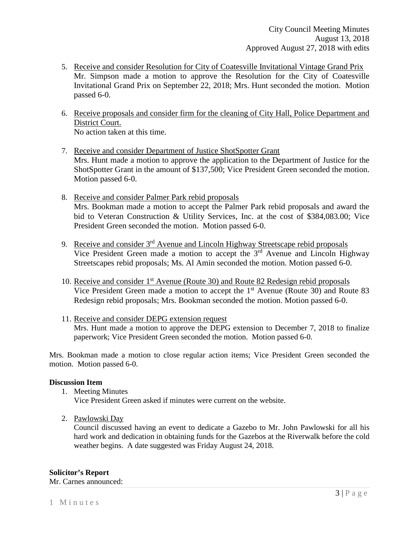- 5. Receive and consider Resolution for City of Coatesville Invitational Vintage Grand Prix Mr. Simpson made a motion to approve the Resolution for the City of Coatesville Invitational Grand Prix on September 22, 2018; Mrs. Hunt seconded the motion. Motion passed 6-0.
- 6. Receive proposals and consider firm for the cleaning of City Hall, Police Department and District Court. No action taken at this time.
- 7. Receive and consider Department of Justice ShotSpotter Grant Mrs. Hunt made a motion to approve the application to the Department of Justice for the ShotSpotter Grant in the amount of \$137,500; Vice President Green seconded the motion. Motion passed 6-0.
- 8. Receive and consider Palmer Park rebid proposals Mrs. Bookman made a motion to accept the Palmer Park rebid proposals and award the bid to Veteran Construction & Utility Services, Inc. at the cost of \$384,083.00; Vice President Green seconded the motion. Motion passed 6-0.
- 9. Receive and consider 3<sup>rd</sup> Avenue and Lincoln Highway Streetscape rebid proposals Vice President Green made a motion to accept the 3rd Avenue and Lincoln Highway Streetscapes rebid proposals; Ms. Al Amin seconded the motion. Motion passed 6-0.
- 10. Receive and consider 1st Avenue (Route 30) and Route 82 Redesign rebid proposals Vice President Green made a motion to accept the 1<sup>st</sup> Avenue (Route 30) and Route 83 Redesign rebid proposals; Mrs. Bookman seconded the motion. Motion passed 6-0.
- 11. Receive and consider DEPG extension request Mrs. Hunt made a motion to approve the DEPG extension to December 7, 2018 to finalize paperwork; Vice President Green seconded the motion. Motion passed 6-0.

Mrs. Bookman made a motion to close regular action items; Vice President Green seconded the motion. Motion passed 6-0.

## **Discussion Item**

- 1. Meeting Minutes Vice President Green asked if minutes were current on the website.
- 2. Pawlowski Day

Council discussed having an event to dedicate a Gazebo to Mr. John Pawlowski for all his hard work and dedication in obtaining funds for the Gazebos at the Riverwalk before the cold weather begins. A date suggested was Friday August 24, 2018.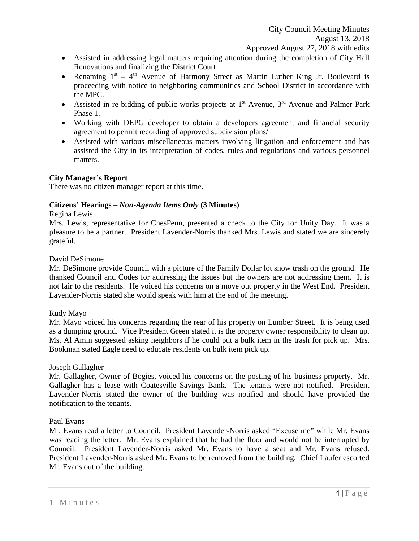- Assisted in addressing legal matters requiring attention during the completion of City Hall Renovations and finalizing the District Court
- Renaming  $1^{st} 4^{th}$  Avenue of Harmony Street as Martin Luther King Jr. Boulevard is proceeding with notice to neighboring communities and School District in accordance with the MPC.
- Assisted in re-bidding of public works projects at  $1<sup>st</sup>$  Avenue,  $3<sup>rd</sup>$  Avenue and Palmer Park Phase 1.
- Working with DEPG developer to obtain a developers agreement and financial security agreement to permit recording of approved subdivision plans/
- Assisted with various miscellaneous matters involving litigation and enforcement and has assisted the City in its interpretation of codes, rules and regulations and various personnel matters.

# **City Manager's Report**

There was no citizen manager report at this time.

# **Citizens' Hearings –** *Non-Agenda Items Only* **(3 Minutes)**

### Regina Lewis

Mrs. Lewis, representative for ChesPenn, presented a check to the City for Unity Day. It was a pleasure to be a partner. President Lavender-Norris thanked Mrs. Lewis and stated we are sincerely grateful.

### David DeSimone

Mr. DeSimone provide Council with a picture of the Family Dollar lot show trash on the ground. He thanked Council and Codes for addressing the issues but the owners are not addressing them. It is not fair to the residents. He voiced his concerns on a move out property in the West End. President Lavender-Norris stated she would speak with him at the end of the meeting.

## Rudy Mayo

Mr. Mayo voiced his concerns regarding the rear of his property on Lumber Street. It is being used as a dumping ground. Vice President Green stated it is the property owner responsibility to clean up. Ms. Al Amin suggested asking neighbors if he could put a bulk item in the trash for pick up. Mrs. Bookman stated Eagle need to educate residents on bulk item pick up.

### Joseph Gallagher

Mr. Gallagher, Owner of Bogies, voiced his concerns on the posting of his business property. Mr. Gallagher has a lease with Coatesville Savings Bank. The tenants were not notified. President Lavender-Norris stated the owner of the building was notified and should have provided the notification to the tenants.

### Paul Evans

Mr. Evans read a letter to Council. President Lavender-Norris asked "Excuse me" while Mr. Evans was reading the letter. Mr. Evans explained that he had the floor and would not be interrupted by Council. President Lavender-Norris asked Mr. Evans to have a seat and Mr. Evans refused. President Lavender-Norris asked Mr. Evans to be removed from the building. Chief Laufer escorted Mr. Evans out of the building.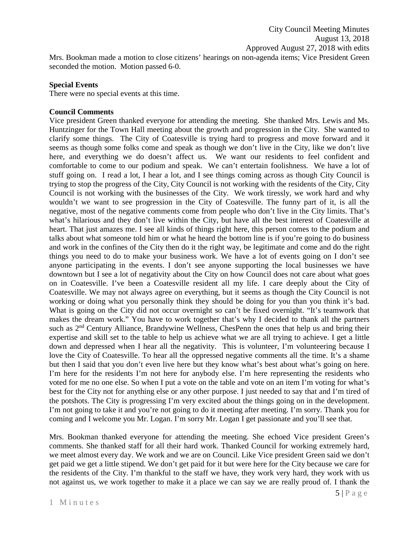Mrs. Bookman made a motion to close citizens' hearings on non-agenda items; Vice President Green seconded the motion. Motion passed 6-0.

### **Special Events**

There were no special events at this time.

## **Council Comments**

Vice president Green thanked everyone for attending the meeting. She thanked Mrs. Lewis and Ms. Huntzinger for the Town Hall meeting about the growth and progression in the City. She wanted to clarify some things. The City of Coatesville is trying hard to progress and move forward and it seems as though some folks come and speak as though we don't live in the City, like we don't live here, and everything we do doesn't affect us. We want our residents to feel confident and comfortable to come to our podium and speak. We can't entertain foolishness. We have a lot of stuff going on. I read a lot, I hear a lot, and I see things coming across as though City Council is trying to stop the progress of the City, City Council is not working with the residents of the City, City Council is not working with the businesses of the City. We work tiressly, we work hard and why wouldn't we want to see progression in the City of Coatesville. The funny part of it, is all the negative, most of the negative comments come from people who don't live in the City limits. That's what's hilarious and they don't live within the City, but have all the best interest of Coatesville at heart. That just amazes me. I see all kinds of things right here, this person comes to the podium and talks about what someone told him or what he heard the bottom line is if you're going to do business and work in the confines of the City then do it the right way, be legitimate and come and do the right things you need to do to make your business work. We have a lot of events going on I don't see anyone participating in the events. I don't see anyone supporting the local businesses we have downtown but I see a lot of negativity about the City on how Council does not care about what goes on in Coatesville. I've been a Coatesville resident all my life. I care deeply about the City of Coatesville. We may not always agree on everything, but it seems as though the City Council is not working or doing what you personally think they should be doing for you than you think it's bad. What is going on the City did not occur overnight so can't be fixed overnight. "It's teamwork that makes the dream work." You have to work together that's why I decided to thank all the partners such as 2<sup>nd</sup> Century Alliance, Brandywine Wellness, ChesPenn the ones that help us and bring their expertise and skill set to the table to help us achieve what we are all trying to achieve. I get a little down and depressed when I hear all the negativity. This is volunteer, I'm volunteering because I love the City of Coatesville. To hear all the oppressed negative comments all the time. It's a shame but then I said that you don't even live here but they know what's best about what's going on here. I'm here for the residents I'm not here for anybody else. I'm here representing the residents who voted for me no one else. So when I put a vote on the table and vote on an item I'm voting for what's best for the City not for anything else or any other purpose. I just needed to say that and I'm tired of the potshots. The City is progressing I'm very excited about the things going on in the development. I'm not going to take it and you're not going to do it meeting after meeting. I'm sorry. Thank you for coming and I welcome you Mr. Logan. I'm sorry Mr. Logan I get passionate and you'll see that.

Mrs. Bookman thanked everyone for attending the meeting. She echoed Vice president Green's comments. She thanked staff for all their hard work. Thanked Council for working extremely hard, we meet almost every day. We work and we are on Council. Like Vice president Green said we don't get paid we get a little stipend. We don't get paid for it but were here for the City because we care for the residents of the City. I'm thankful to the staff we have, they work very hard, they work with us not against us, we work together to make it a place we can say we are really proud of. I thank the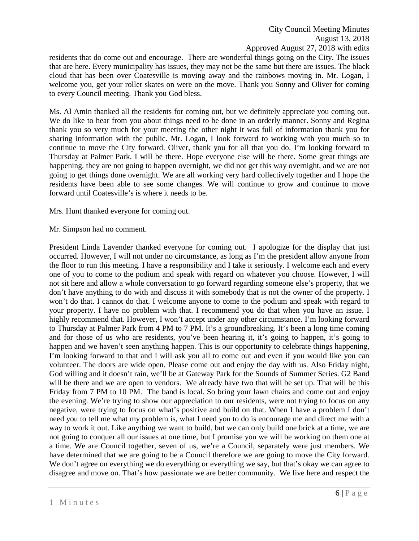City Council Meeting Minutes August 13, 2018 Approved August 27, 2018 with edits

residents that do come out and encourage. There are wonderful things going on the City. The issues that are here. Every municipality has issues, they may not be the same but there are issues. The black cloud that has been over Coatesville is moving away and the rainbows moving in. Mr. Logan, I welcome you, get your roller skates on were on the move. Thank you Sonny and Oliver for coming to every Council meeting. Thank you God bless.

Ms. Al Amin thanked all the residents for coming out, but we definitely appreciate you coming out. We do like to hear from you about things need to be done in an orderly manner. Sonny and Regina thank you so very much for your meeting the other night it was full of information thank you for sharing information with the public. Mr. Logan, I look forward to working with you much so to continue to move the City forward. Oliver, thank you for all that you do. I'm looking forward to Thursday at Palmer Park. I will be there. Hope everyone else will be there. Some great things are happening. they are not going to happen overnight, we did not get this way overnight, and we are not going to get things done overnight. We are all working very hard collectively together and I hope the residents have been able to see some changes. We will continue to grow and continue to move forward until Coatesville's is where it needs to be.

Mrs. Hunt thanked everyone for coming out.

Mr. Simpson had no comment.

President Linda Lavender thanked everyone for coming out. I apologize for the display that just occurred. However, I will not under no circumstance, as long as I'm the president allow anyone from the floor to run this meeting. I have a responsibility and I take it seriously. I welcome each and every one of you to come to the podium and speak with regard on whatever you choose. However, I will not sit here and allow a whole conversation to go forward regarding someone else's property, that we don't have anything to do with and discuss it with somebody that is not the owner of the property. I won't do that. I cannot do that. I welcome anyone to come to the podium and speak with regard to your property. I have no problem with that. I recommend you do that when you have an issue. I highly recommend that. However, I won't accept under any other circumstance. I'm looking forward to Thursday at Palmer Park from 4 PM to 7 PM. It's a groundbreaking. It's been a long time coming and for those of us who are residents, you've been hearing it, it's going to happen, it's going to happen and we haven't seen anything happen. This is our opportunity to celebrate things happening, I'm looking forward to that and I will ask you all to come out and even if you would like you can volunteer. The doors are wide open. Please come out and enjoy the day with us. Also Friday night, God willing and it doesn't rain, we'll be at Gateway Park for the Sounds of Summer Series. G2 Band will be there and we are open to vendors. We already have two that will be set up. That will be this Friday from 7 PM to 10 PM. The band is local. So bring your lawn chairs and come out and enjoy the evening. We're trying to show our appreciation to our residents, were not trying to focus on any negative, were trying to focus on what's positive and build on that. When I have a problem I don't need you to tell me what my problem is, what I need you to do is encourage me and direct me with a way to work it out. Like anything we want to build, but we can only build one brick at a time, we are not going to conquer all our issues at one time, but I promise you we will be working on them one at a time. We are Council together, seven of us, we're a Council, separately were just members. We have determined that we are going to be a Council therefore we are going to move the City forward. We don't agree on everything we do everything or everything we say, but that's okay we can agree to disagree and move on. That's how passionate we are better community. We live here and respect the